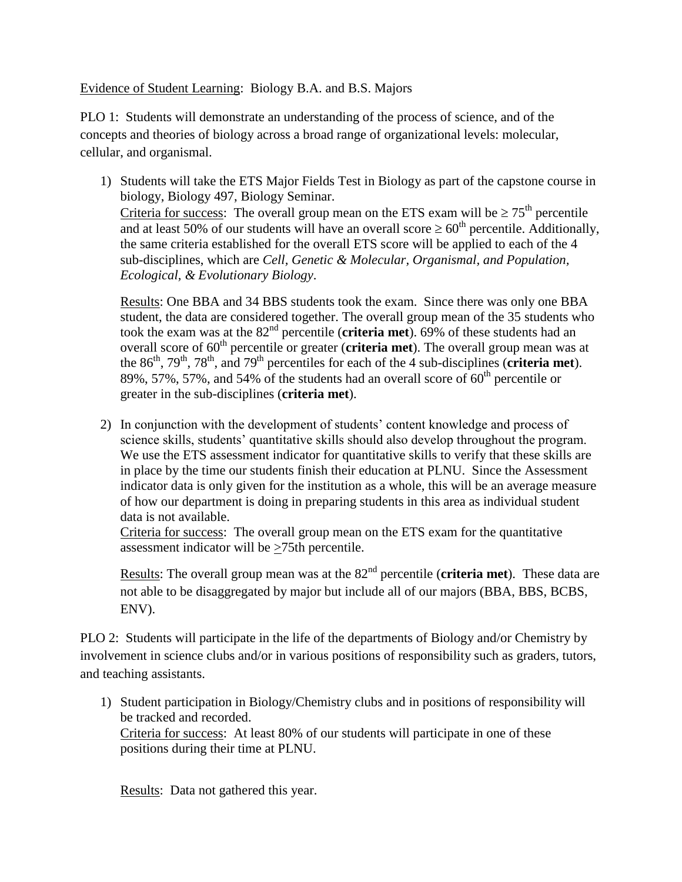## Evidence of Student Learning: Biology B.A. and B.S. Majors

PLO 1: Students will demonstrate an understanding of the process of science, and of the concepts and theories of biology across a broad range of organizational levels: molecular, cellular, and organismal.

1) Students will take the ETS Major Fields Test in Biology as part of the capstone course in biology, Biology 497, Biology Seminar. Criteria for success: The overall group mean on the ETS exam will be  $\geq 75^{\text{th}}$  percentile and at least 50% of our students will have an overall score  $\geq 60^{th}$  percentile. Additionally, the same criteria established for the overall ETS score will be applied to each of the 4 sub-disciplines, which are *Cell, Genetic & Molecular, Organismal, and Population, Ecological, & Evolutionary Biology*.

Results: One BBA and 34 BBS students took the exam. Since there was only one BBA student, the data are considered together. The overall group mean of the 35 students who took the exam was at the 82<sup>nd</sup> percentile (**criteria met**). 69% of these students had an overall score of 60<sup>th</sup> percentile or greater (**criteria met**). The overall group mean was at the  $86<sup>th</sup>$ ,  $79<sup>th</sup>$ ,  $78<sup>th</sup>$ , and  $79<sup>th</sup>$  percentiles for each of the 4 sub-disciplines (**criteria met**). 89%, 57%, 57%, and 54% of the students had an overall score of  $60<sup>th</sup>$  percentile or greater in the sub-disciplines (**criteria met**).

2) In conjunction with the development of students' content knowledge and process of science skills, students' quantitative skills should also develop throughout the program. We use the ETS assessment indicator for quantitative skills to verify that these skills are in place by the time our students finish their education at PLNU. Since the Assessment indicator data is only given for the institution as a whole, this will be an average measure of how our department is doing in preparing students in this area as individual student data is not available.

Criteria for success: The overall group mean on the ETS exam for the quantitative assessment indicator will be >75th percentile.

Results: The overall group mean was at the 82<sup>nd</sup> percentile (**criteria met**). These data are not able to be disaggregated by major but include all of our majors (BBA, BBS, BCBS, ENV).

PLO 2: Students will participate in the life of the departments of Biology and/or Chemistry by involvement in science clubs and/or in various positions of responsibility such as graders, tutors, and teaching assistants.

1) Student participation in Biology/Chemistry clubs and in positions of responsibility will be tracked and recorded.

Criteria for success: At least 80% of our students will participate in one of these positions during their time at PLNU.

Results: Data not gathered this year.